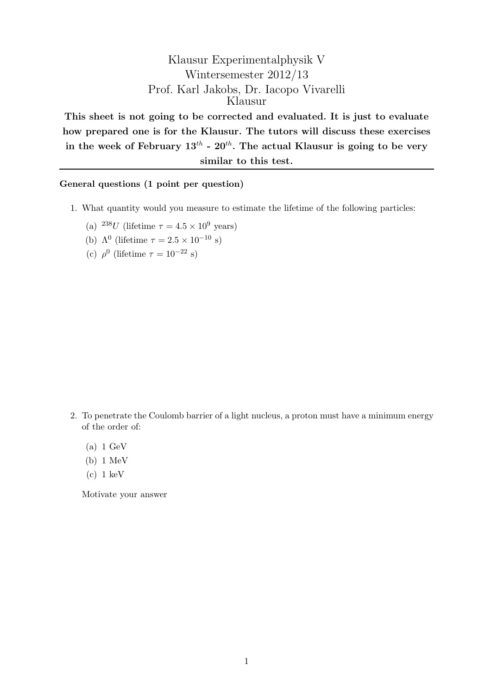## Klausur Experimentalphysik V Wintersemester 2012/13 Prof. Karl Jakobs, Dr. Iacopo Vivarelli Klausur

This sheet is not going to be corrected and evaluated. It is just to evaluate how prepared one is for the Klausur. The tutors will discuss these exercises in the week of February  $13^{th}$  -  $20^{th}$ . The actual Klausur is going to be very similar to this test.

General questions (1 point per question)

- 1. What quantity would you measure to estimate the lifetime of the following particles:
	- (a)  $^{238}U$  (lifetime  $\tau = 4.5 \times 10^9$  years)
	- (b)  $\Lambda^0$  (lifetime  $\tau = 2.5 \times 10^{-10}$  s)
	- (c)  $\rho^0$  (lifetime  $\tau = 10^{-22}$  s)

- 2. To penetrate the Coulomb barrier of a light nucleus, a proton must have a minimum energy of the order of:
	- (a) 1 GeV
	- (b) 1 MeV
	- $(c)$  1 keV

Motivate your answer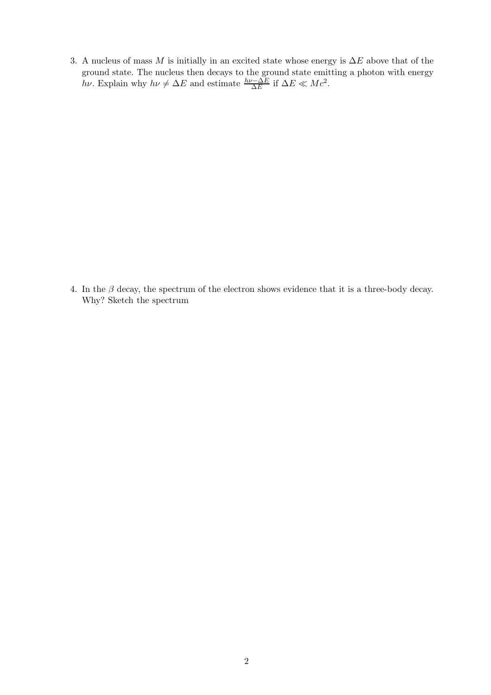3. A nucleus of mass M is initially in an excited state whose energy is  $\Delta E$  above that of the ground state. The nucleus then decays to the ground state emitting a photon with energy hv. Explain why  $h\nu \neq \Delta E$  and estimate  $\frac{h\nu - \Delta E}{\Delta E}$  if  $\Delta E \ll Mc^2$ .

4. In the  $\beta$  decay, the spectrum of the electron shows evidence that it is a three-body decay. Why? Sketch the spectrum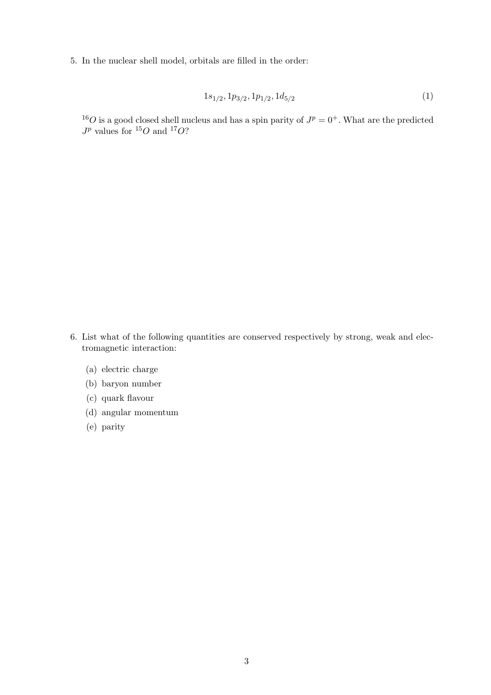5. In the nuclear shell model, orbitals are filled in the order:

$$
1s_{1/2}, 1p_{3/2}, 1p_{1/2}, 1d_{5/2} \tag{1}
$$

<sup>16</sup>O is a good closed shell nucleus and has a spin parity of  $J^p = 0^+$ . What are the predicted  $J^p$  values for <sup>15</sup>O and <sup>17</sup>O?

- 6. List what of the following quantities are conserved respectively by strong, weak and electromagnetic interaction:
	- (a) electric charge
	- (b) baryon number
	- (c) quark flavour
	- (d) angular momentum
	- (e) parity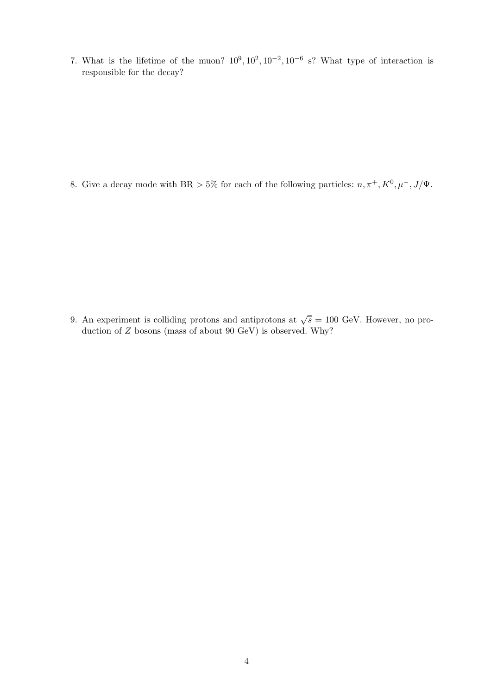7. What is the lifetime of the muon?  $10^9, 10^2, 10^{-2}, 10^{-6}$  s? What type of interaction is responsible for the decay?

8. Give a decay mode with BR > 5% for each of the following particles:  $n, \pi^+, K^0, \mu^-, J/\Psi$ .

9. An experiment is colliding protons and antiprotons at  $\sqrt{s} = 100$  GeV. However, no production of Z bosons (mass of about 90 GeV) is observed. Why?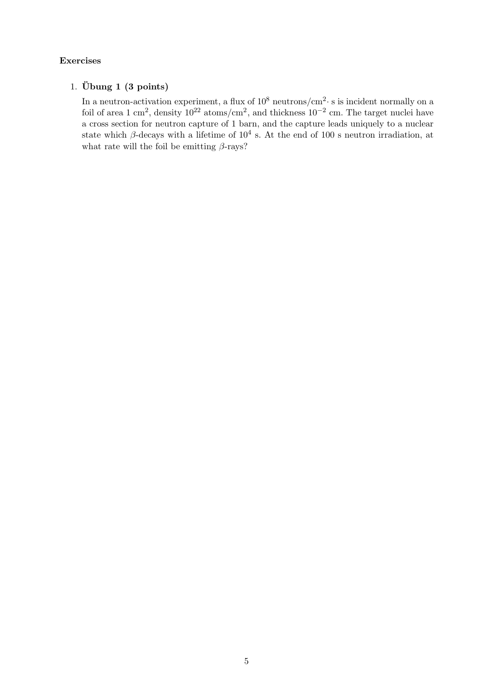## Exercises

## 1. Übung 1  $(3 \text{ points})$

In a neutron-activation experiment, a flux of  $10^8$  neutrons/cm<sup>2</sup> s is incident normally on a foil of area 1 cm<sup>2</sup>, density  $10^{22}$  atoms/cm<sup>2</sup>, and thickness  $10^{-2}$  cm. The target nuclei have a cross section for neutron capture of 1 barn, and the capture leads uniquely to a nuclear state which  $\beta$ -decays with a lifetime of  $10^4$  s. At the end of 100 s neutron irradiation, at what rate will the foil be emitting  $\beta$ -rays?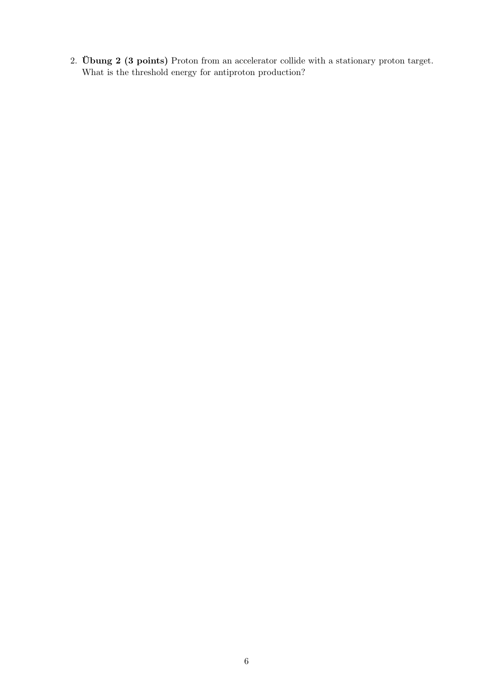2. Übung (3 points) Proton from an accelerator collide with a stationary proton target. What is the threshold energy for antiproton production?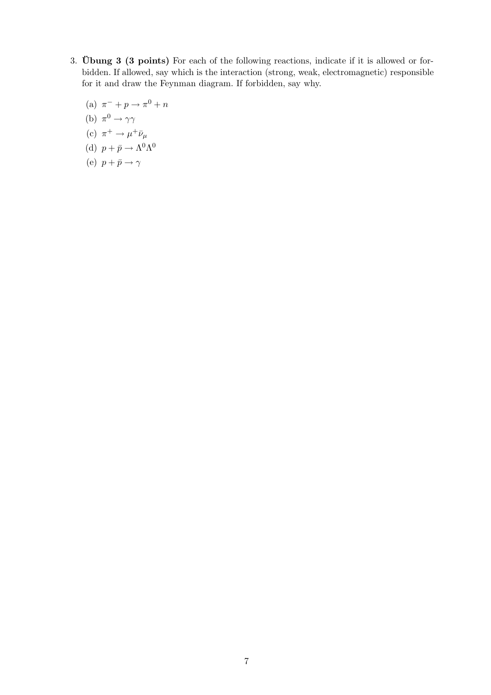- 3. Ubung  $3$  ( $3$  points) For each of the following reactions, indicate if it is allowed or forbidden. If allowed, say which is the interaction (strong, weak, electromagnetic) responsible for it and draw the Feynman diagram. If forbidden, say why.
	- (a)  $\pi^- + p \to \pi^0 + n$
	- (b)  $\pi^0 \to \gamma \gamma$
	- (c)  $\pi^+ \to \mu^+ \bar{\nu}_\mu$
	- (d)  $p + \bar{p} \rightarrow \Lambda^0 \Lambda^0$
	- (e)  $p + \bar{p} \rightarrow \gamma$